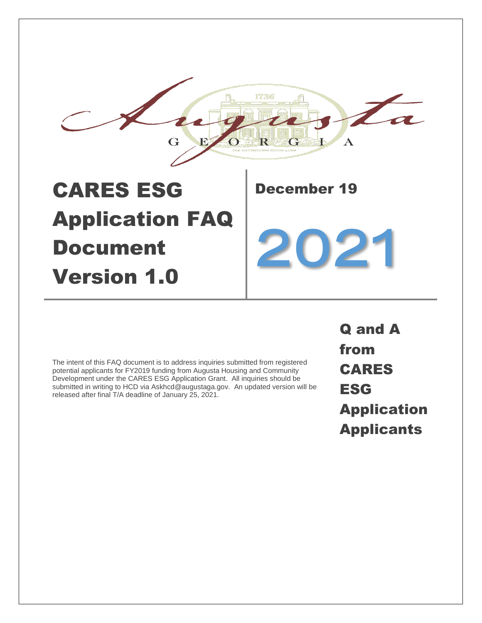

The intent of this FAQ document is to address inquiries submitted from registered potential applicants for FY2019 funding from Augusta Housing and Community Development under the CARES ESG Application Grant. All inquiries should be submitted in writing to HCD via Askhcd@augustaga.gov. An updated version will be released after final T/A deadline of January 25, 2021.

Q and A from CARES ESG Application Applicants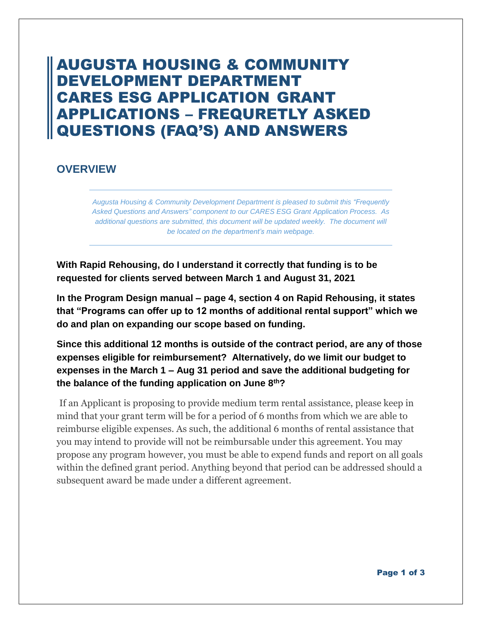# AUGUSTA HOUSING & COMMUNITY DEVELOPMENT DEPARTMENT CARES ESG APPLICATION GRANT APPLICATIONS – FREQURETLY ASKED QUESTIONS (FAQ'S) AND ANSWERS

# **OVERVIEW**

*Augusta Housing & Community Development Department is pleased to submit this "Frequently Asked Questions and Answers" component to our CARES ESG Grant Application Process. As additional questions are submitted, this document will be updated weekly. The document will be located on the department's main webpage.*

**With Rapid Rehousing, do I understand it correctly that funding is to be requested for clients served between March 1 and August 31, 2021**

**In the Program Design manual – page 4, section 4 on Rapid Rehousing, it states that "Programs can offer up to 12 months of additional rental support" which we do and plan on expanding our scope based on funding.**

**Since this additional 12 months is outside of the contract period, are any of those expenses eligible for reimbursement? Alternatively, do we limit our budget to expenses in the March 1 – Aug 31 period and save the additional budgeting for the balance of the funding application on June 8th?**

If an Applicant is proposing to provide medium term rental assistance, please keep in mind that your grant term will be for a period of 6 months from which we are able to reimburse eligible expenses. As such, the additional 6 months of rental assistance that you may intend to provide will not be reimbursable under this agreement. You may propose any program however, you must be able to expend funds and report on all goals within the defined grant period. Anything beyond that period can be addressed should a subsequent award be made under a different agreement.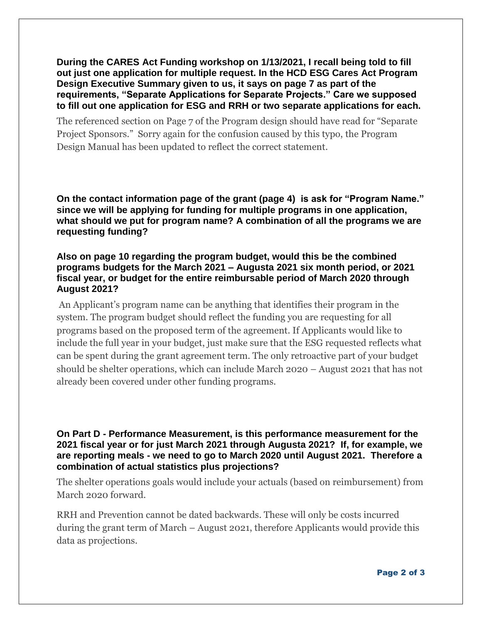**During the CARES Act Funding workshop on 1/13/2021, I recall being told to fill out just one application for multiple request. In the HCD ESG Cares Act Program Design Executive Summary given to us, it says on page 7 as part of the requirements, "Separate Applications for Separate Projects." Care we supposed to fill out one application for ESG and RRH or two separate applications for each.** 

The referenced section on Page 7 of the Program design should have read for "Separate Project Sponsors." Sorry again for the confusion caused by this typo, the Program Design Manual has been updated to reflect the correct statement.

**On the contact information page of the grant (page 4) is ask for "Program Name." since we will be applying for funding for multiple programs in one application, what should we put for program name? A combination of all the programs we are requesting funding?**

### **Also on page 10 regarding the program budget, would this be the combined programs budgets for the March 2021 – Augusta 2021 six month period, or 2021 fiscal year, or budget for the entire reimbursable period of March 2020 through August 2021?**

An Applicant's program name can be anything that identifies their program in the system. The program budget should reflect the funding you are requesting for all programs based on the proposed term of the agreement. If Applicants would like to include the full year in your budget, just make sure that the ESG requested reflects what can be spent during the grant agreement term. The only retroactive part of your budget should be shelter operations, which can include March 2020 – August 2021 that has not already been covered under other funding programs.

**On Part D - Performance Measurement, is this performance measurement for the 2021 fiscal year or for just March 2021 through Augusta 2021? If, for example, we are reporting meals - we need to go to March 2020 until August 2021. Therefore a combination of actual statistics plus projections?**

The shelter operations goals would include your actuals (based on reimbursement) from March 2020 forward.

RRH and Prevention cannot be dated backwards. These will only be costs incurred during the grant term of March – August 2021, therefore Applicants would provide this data as projections.